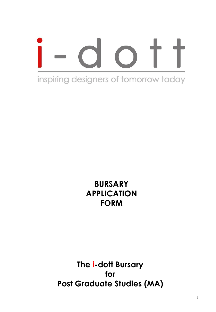# inspiring designers of tomorrow today

# **BURSARY APPLICATION FORM**

**The i-dott Bursary for Post Graduate Studies (MA)**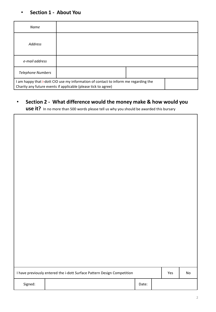#### • **Section 1 - About You**

| Name                                                                                                                                                  |  |  |  |  |
|-------------------------------------------------------------------------------------------------------------------------------------------------------|--|--|--|--|
| <b>Address</b>                                                                                                                                        |  |  |  |  |
| e-mail address                                                                                                                                        |  |  |  |  |
| <b>Telephone Numbers</b>                                                                                                                              |  |  |  |  |
| I am happy that i-dott CIO use my information of contact to inform me regarding the<br>Charity any future events if applicable (please tick to agree) |  |  |  |  |

# • **Section 2 - What difference would the money make & how would you**

**use it?** In no more than 500 words please tell us why you should be awarded this bursary

| I have previously entered the i-dott Surface Pattern Design Competition |  |       |  |  | No |
|-------------------------------------------------------------------------|--|-------|--|--|----|
| Signed:                                                                 |  | Date: |  |  |    |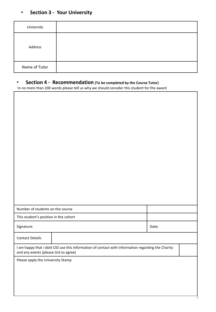# • **Section 3 - Your University**

 $\overline{a}$ 

| University    |  |
|---------------|--|
| Address       |  |
| Name of Tutor |  |

1

#### • **Section 4 - Recommendation (To be completed by the Course Tutor)**

In no more than 200 words please tell us why we should consider this student for the award

| Number of students on the course                                                                                                           |  |       |  |  |
|--------------------------------------------------------------------------------------------------------------------------------------------|--|-------|--|--|
| This student's position in the cohort                                                                                                      |  |       |  |  |
| Signature:                                                                                                                                 |  | Date: |  |  |
| <b>Contact Details</b>                                                                                                                     |  |       |  |  |
| I am happy that i-dott CIO use this information of contact with information regarding the Charity<br>and any events (please tick to agree) |  |       |  |  |
| Please apply the University Stamp                                                                                                          |  |       |  |  |
|                                                                                                                                            |  |       |  |  |
|                                                                                                                                            |  |       |  |  |
|                                                                                                                                            |  |       |  |  |
|                                                                                                                                            |  |       |  |  |